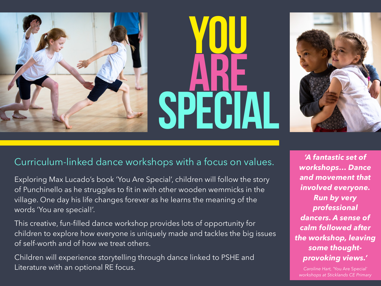## YOU ARE SPECIAL



## Curriculum-linked dance workshops with a focus on values.

Exploring Max Lucado's book 'You Are Special', children will follow the story of Punchinello as he struggles to fit in with other wooden wemmicks in the village. One day his life changes forever as he learns the meaning of the words 'You are special!'.

This creative, fun-filled dance workshop provides lots of opportunity for children to explore how everyone is uniquely made and tackles the big issues of self-worth and of how we treat others.

Children will experience storytelling through dance linked to PSHE and Literature with an optional RE focus.

*'A fantastic set of workshops… Dance and movement that involved everyone. Run by very professional dancers. A sense of calm followed after the workshop, leaving some thoughtprovoking views.'*

*Caroline Hart, '*You Are Special' *workshops at Sticklands CE Primary*